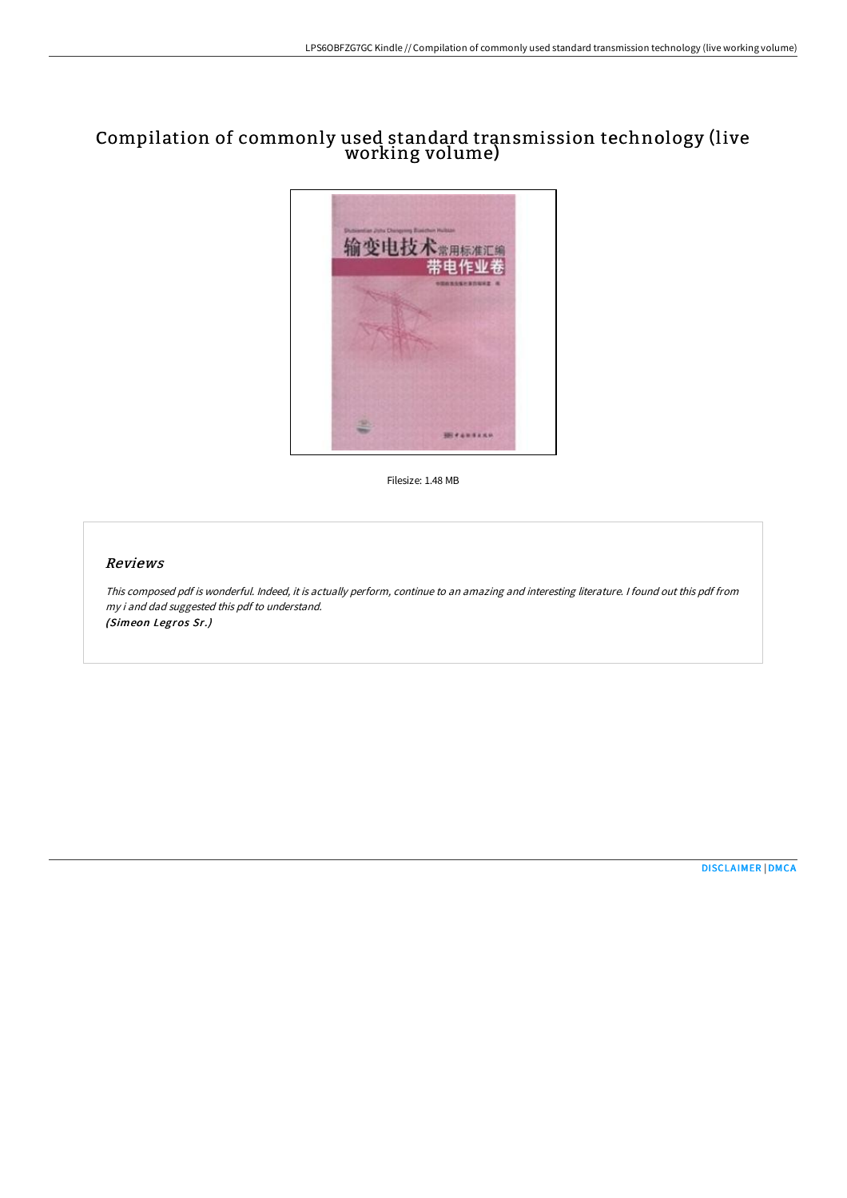# Compilation of commonly used standard transmission technology (live working volume)



Filesize: 1.48 MB

#### Reviews

This composed pdf is wonderful. Indeed, it is actually perform, continue to an amazing and interesting literature. <sup>I</sup> found out this pdf from my i and dad suggested this pdf to understand. (Simeon Legros Sr.)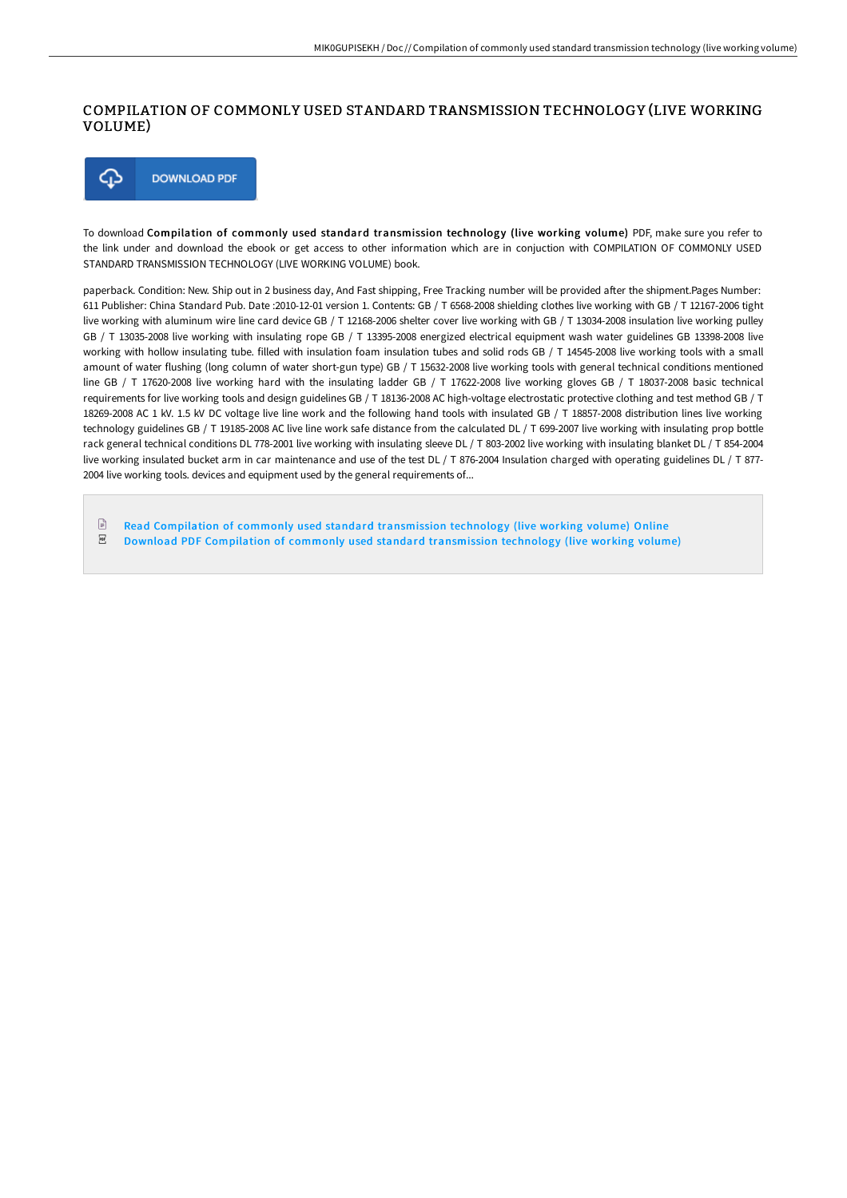### COMPILATION OF COMMONLY USED STANDARD TRANSMISSION TECHNOLOGY (LIVE WORKING VOLUME)



To download Compilation of commonly used standard transmission technology (live working volume) PDF, make sure you refer to the link under and download the ebook or get access to other information which are in conjuction with COMPILATION OF COMMONLY USED STANDARD TRANSMISSION TECHNOLOGY (LIVE WORKING VOLUME) book.

paperback. Condition: New. Ship out in 2 business day, And Fast shipping, Free Tracking number will be provided after the shipment.Pages Number: 611 Publisher: China Standard Pub. Date :2010-12-01 version 1. Contents: GB / T 6568-2008 shielding clothes live working with GB / T 12167-2006 tight live working with aluminum wire line card device GB / T 12168-2006 shelter cover live working with GB / T 13034-2008 insulation live working pulley GB / T 13035-2008 live working with insulating rope GB / T 13395-2008 energized electrical equipment wash water guidelines GB 13398-2008 live working with hollow insulating tube. filled with insulation foam insulation tubes and solid rods GB / T 14545-2008 live working tools with a small amount of water flushing (long column of water short-gun type) GB / T 15632-2008 live working tools with general technical conditions mentioned line GB / T 17620-2008 live working hard with the insulating ladder GB / T 17622-2008 live working gloves GB / T 18037-2008 basic technical requirements for live working tools and design guidelines GB / T 18136-2008 AC high-voltage electrostatic protective clothing and test method GB / T 18269-2008 AC 1 kV. 1.5 kV DC voltage live line work and the following hand tools with insulated GB / T 18857-2008 distribution lines live working technology guidelines GB / T 19185-2008 AC live line work safe distance from the calculated DL / T 699-2007 live working with insulating prop bottle rack general technical conditions DL 778-2001 live working with insulating sleeve DL / T 803-2002 live working with insulating blanket DL / T 854-2004 live working insulated bucket arm in car maintenance and use of the test DL / T 876-2004 Insulation charged with operating guidelines DL / T 877-2004 live working tools. devices and equipment used by the general requirements of...

 $\mathbb{R}$ Read Compilation of commonly used standard [transmission](http://digilib.live/compilation-of-commonly-used-standard-transmissi.html) technology (live working volume) Online

 $_{\rm PDF}$ Download PDF Compilation of commonly used standard [transmission](http://digilib.live/compilation-of-commonly-used-standard-transmissi.html) technology (live working volume)